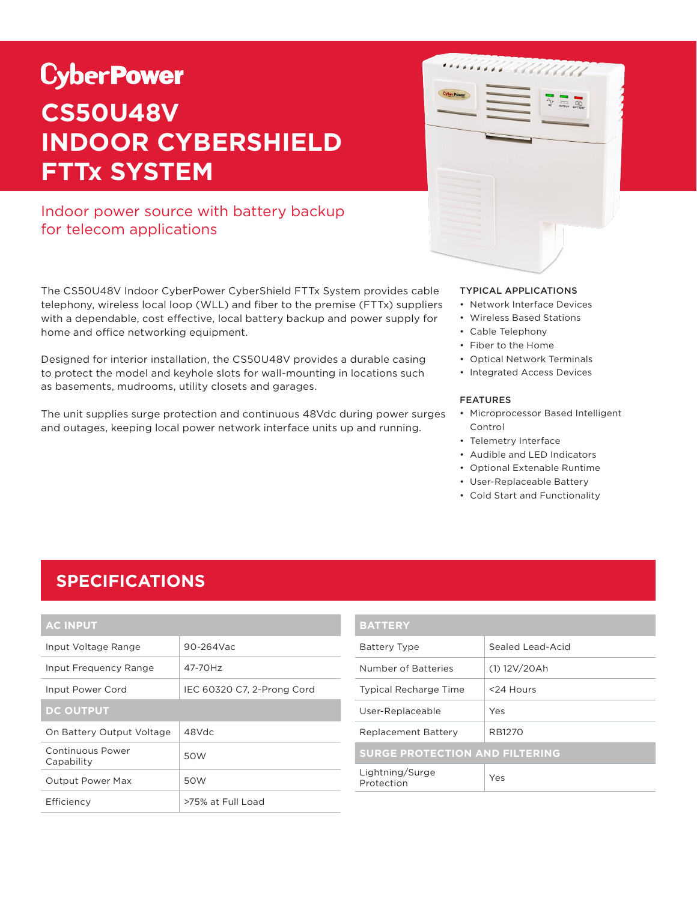# **CyberPower CS50U48V INDOOR CYBERSHIELD FTTx SYSTEM**

### Indoor power source with battery backup for telecom applications

The CS50U48V Indoor CyberPower CyberShield FTTx System provides cable telephony, wireless local loop (WLL) and fiber to the premise (FTTx) suppliers with a dependable, cost effective, local battery backup and power supply for home and office networking equipment.

Designed for interior installation, the CS50U48V provides a durable casing to protect the model and keyhole slots for wall-mounting in locations such as basements, mudrooms, utility closets and garages.

The unit supplies surge protection and continuous 48Vdc during power surges and outages, keeping local power network interface units up and running.



#### TYPICAL APPLICATIONS

- Network Interface Devices
- Wireless Based Stations
- Cable Telephony
- Fiber to the Home
- Optical Network Terminals
- Integrated Access Devices

#### FEATURES

- Microprocessor Based Intelligent Control
- Telemetry Interface
- Audible and LED Indicators
- Optional Extenable Runtime
- User-Replaceable Battery
- Cold Start and Functionality

### **SPECIFICATIONS**

| <b>AC INPUT</b>                |                            |  |
|--------------------------------|----------------------------|--|
| Input Voltage Range            | $90 - 264$ Vac             |  |
| Input Frequency Range          | 47-70Hz                    |  |
| Input Power Cord               | IEC 60320 C7, 2-Prong Cord |  |
| <b>DC OUTPUT</b>               |                            |  |
| On Battery Output Voltage      | $48$ Vdc                   |  |
| Continuous Power<br>Capability | 50W                        |  |
| <b>Output Power Max</b>        | 50W                        |  |
| Efficiency                     | >75% at Full Load          |  |

| <b>BATTERY</b>                        |                  |  |
|---------------------------------------|------------------|--|
| <b>Battery Type</b>                   | Sealed Lead-Acid |  |
| Number of Batteries                   | (1) 12V/20Ah     |  |
| <b>Typical Recharge Time</b>          | <24 Hours        |  |
| User-Replaceable                      | Yes              |  |
| <b>Replacement Battery</b>            | RB1270           |  |
| <b>SURGE PROTECTION AND FILTERING</b> |                  |  |
| Lightning/Surge<br>Protection         | Yes              |  |
|                                       |                  |  |